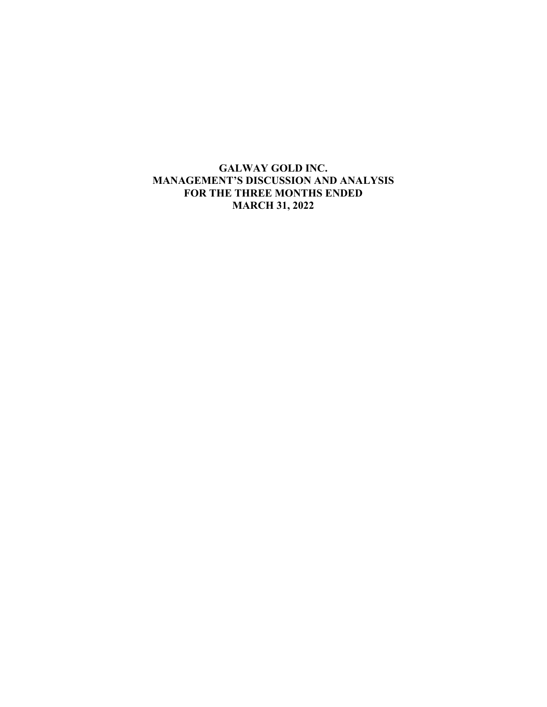# **GALWAY GOLD INC. MANAGEMENT'S DISCUSSION AND ANALYSIS FOR THE THREE MONTHS ENDED MARCH 31, 2022**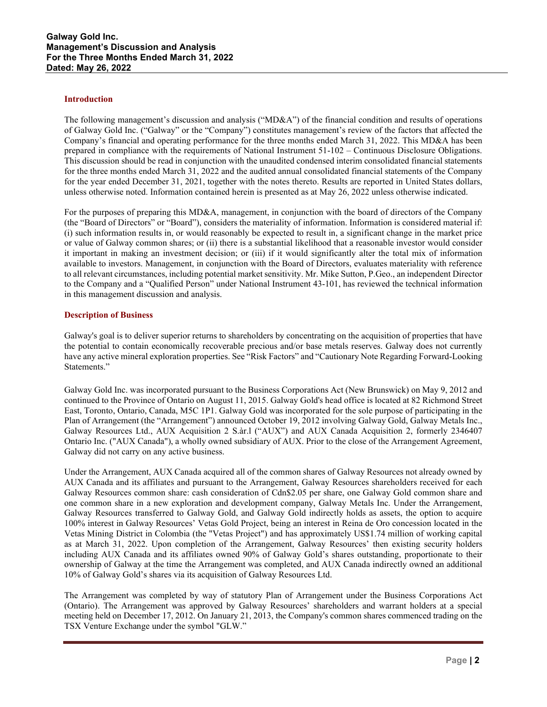#### **Introduction**

The following management's discussion and analysis ("MD&A") of the financial condition and results of operations of Galway Gold Inc. ("Galway" or the "Company") constitutes management's review of the factors that affected the Company's financial and operating performance for the three months ended March 31, 2022. This MD&A has been prepared in compliance with the requirements of National Instrument 51-102 – Continuous Disclosure Obligations. This discussion should be read in conjunction with the unaudited condensed interim consolidated financial statements for the three months ended March 31, 2022 and the audited annual consolidated financial statements of the Company for the year ended December 31, 2021, together with the notes thereto. Results are reported in United States dollars, unless otherwise noted. Information contained herein is presented as at May 26, 2022 unless otherwise indicated.

For the purposes of preparing this MD&A, management, in conjunction with the board of directors of the Company (the "Board of Directors" or "Board"), considers the materiality of information. Information is considered material if: (i) such information results in, or would reasonably be expected to result in, a significant change in the market price or value of Galway common shares; or (ii) there is a substantial likelihood that a reasonable investor would consider it important in making an investment decision; or (iii) if it would significantly alter the total mix of information available to investors. Management, in conjunction with the Board of Directors, evaluates materiality with reference to all relevant circumstances, including potential market sensitivity. Mr. Mike Sutton, P.Geo., an independent Director to the Company and a "Qualified Person" under National Instrument 43-101, has reviewed the technical information in this management discussion and analysis.

# **Description of Business**

Galway's goal is to deliver superior returns to shareholders by concentrating on the acquisition of properties that have the potential to contain economically recoverable precious and/or base metals reserves. Galway does not currently have any active mineral exploration properties. See "Risk Factors" and "Cautionary Note Regarding Forward-Looking Statements."

Galway Gold Inc. was incorporated pursuant to the Business Corporations Act (New Brunswick) on May 9, 2012 and continued to the Province of Ontario on August 11, 2015. Galway Gold's head office is located at 82 Richmond Street East, Toronto, Ontario, Canada, M5C 1P1. Galway Gold was incorporated for the sole purpose of participating in the Plan of Arrangement (the "Arrangement") announced October 19, 2012 involving Galway Gold, Galway Metals Inc., Galway Resources Ltd., AUX Acquisition 2 S.àr.l ("AUX") and AUX Canada Acquisition 2, formerly 2346407 Ontario Inc. ("AUX Canada"), a wholly owned subsidiary of AUX. Prior to the close of the Arrangement Agreement, Galway did not carry on any active business.

Under the Arrangement, AUX Canada acquired all of the common shares of Galway Resources not already owned by AUX Canada and its affiliates and pursuant to the Arrangement, Galway Resources shareholders received for each Galway Resources common share: cash consideration of Cdn\$2.05 per share, one Galway Gold common share and one common share in a new exploration and development company, Galway Metals Inc. Under the Arrangement, Galway Resources transferred to Galway Gold, and Galway Gold indirectly holds as assets, the option to acquire 100% interest in Galway Resources' Vetas Gold Project, being an interest in Reina de Oro concession located in the Vetas Mining District in Colombia (the "Vetas Project") and has approximately US\$1.74 million of working capital as at March 31, 2022. Upon completion of the Arrangement, Galway Resources' then existing security holders including AUX Canada and its affiliates owned 90% of Galway Gold's shares outstanding, proportionate to their ownership of Galway at the time the Arrangement was completed, and AUX Canada indirectly owned an additional 10% of Galway Gold's shares via its acquisition of Galway Resources Ltd.

The Arrangement was completed by way of statutory Plan of Arrangement under the Business Corporations Act (Ontario). The Arrangement was approved by Galway Resources' shareholders and warrant holders at a special meeting held on December 17, 2012. On January 21, 2013, the Company's common shares commenced trading on the TSX Venture Exchange under the symbol "GLW."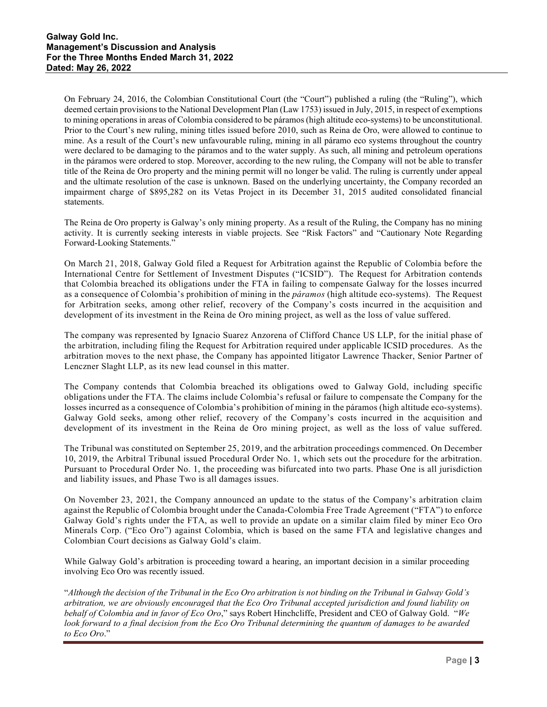On February 24, 2016, the Colombian Constitutional Court (the "Court") published a ruling (the "Ruling"), which deemed certain provisions to the National Development Plan (Law 1753) issued in July, 2015, in respect of exemptions to mining operations in areas of Colombia considered to be páramos (high altitude eco-systems) to be unconstitutional. Prior to the Court's new ruling, mining titles issued before 2010, such as Reina de Oro, were allowed to continue to mine. As a result of the Court's new unfavourable ruling, mining in all páramo eco systems throughout the country were declared to be damaging to the páramos and to the water supply. As such, all mining and petroleum operations in the páramos were ordered to stop. Moreover, according to the new ruling, the Company will not be able to transfer title of the Reina de Oro property and the mining permit will no longer be valid. The ruling is currently under appeal and the ultimate resolution of the case is unknown. Based on the underlying uncertainty, the Company recorded an impairment charge of \$895,282 on its Vetas Project in its December 31, 2015 audited consolidated financial statements.

The Reina de Oro property is Galway's only mining property. As a result of the Ruling, the Company has no mining activity. It is currently seeking interests in viable projects. See "Risk Factors" and "Cautionary Note Regarding Forward-Looking Statements."

On March 21, 2018, Galway Gold filed a Request for Arbitration against the Republic of Colombia before the International Centre for Settlement of Investment Disputes ("ICSID"). The Request for Arbitration contends that Colombia breached its obligations under the FTA in failing to compensate Galway for the losses incurred as a consequence of Colombia's prohibition of mining in the *páramos* (high altitude eco-systems). The Request for Arbitration seeks, among other relief, recovery of the Company's costs incurred in the acquisition and development of its investment in the Reina de Oro mining project, as well as the loss of value suffered.

The company was represented by Ignacio Suarez Anzorena of Clifford Chance US LLP, for the initial phase of the arbitration, including filing the Request for Arbitration required under applicable ICSID procedures. As the arbitration moves to the next phase, the Company has appointed litigator Lawrence Thacker, Senior Partner of Lenczner Slaght LLP, as its new lead counsel in this matter.

The Company contends that Colombia breached its obligations owed to Galway Gold, including specific obligations under the FTA. The claims include Colombia's refusal or failure to compensate the Company for the losses incurred as a consequence of Colombia's prohibition of mining in the páramos (high altitude eco-systems). Galway Gold seeks, among other relief, recovery of the Company's costs incurred in the acquisition and development of its investment in the Reina de Oro mining project, as well as the loss of value suffered.

The Tribunal was constituted on September 25, 2019, and the arbitration proceedings commenced. On December 10, 2019, the Arbitral Tribunal issued Procedural Order No. 1, which sets out the procedure for the arbitration. Pursuant to Procedural Order No. 1, the proceeding was bifurcated into two parts. Phase One is all jurisdiction and liability issues, and Phase Two is all damages issues.

On November 23, 2021, the Company announced an update to the status of the Company's arbitration claim against the Republic of Colombia brought under the Canada-Colombia Free Trade Agreement ("FTA") to enforce Galway Gold's rights under the FTA, as well to provide an update on a similar claim filed by miner Eco Oro Minerals Corp. ("Eco Oro") against Colombia, which is based on the same FTA and legislative changes and Colombian Court decisions as Galway Gold's claim.

While Galway Gold's arbitration is proceeding toward a hearing, an important decision in a similar proceeding involving Eco Oro was recently issued.

"*Although the decision of the Tribunal in the Eco Oro arbitration is not binding on the Tribunal in Galway Gold's arbitration, we are obviously encouraged that the Eco Oro Tribunal accepted jurisdiction and found liability on behalf of Colombia and in favor of Eco Oro*," says Robert Hinchcliffe, President and CEO of Galway Gold. "*We look forward to a final decision from the Eco Oro Tribunal determining the quantum of damages to be awarded to Eco Oro*."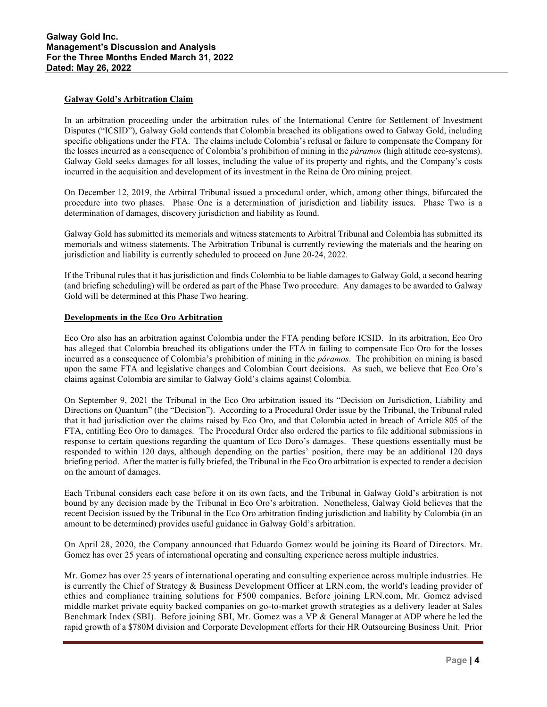# **Galway Gold's Arbitration Claim**

In an arbitration proceeding under the arbitration rules of the International Centre for Settlement of Investment Disputes ("ICSID"), Galway Gold contends that Colombia breached its obligations owed to Galway Gold, including specific obligations under the FTA. The claims include Colombia's refusal or failure to compensate the Company for the losses incurred as a consequence of Colombia's prohibition of mining in the *páramos* (high altitude eco-systems). Galway Gold seeks damages for all losses, including the value of its property and rights, and the Company's costs incurred in the acquisition and development of its investment in the Reina de Oro mining project.

On December 12, 2019, the Arbitral Tribunal issued a procedural order, which, among other things, bifurcated the procedure into two phases. Phase One is a determination of jurisdiction and liability issues. Phase Two is a determination of damages, discovery jurisdiction and liability as found.

Galway Gold has submitted its memorials and witness statements to Arbitral Tribunal and Colombia has submitted its memorials and witness statements. The Arbitration Tribunal is currently reviewing the materials and the hearing on jurisdiction and liability is currently scheduled to proceed on June 20-24, 2022.

If the Tribunal rules that it has jurisdiction and finds Colombia to be liable damages to Galway Gold, a second hearing (and briefing scheduling) will be ordered as part of the Phase Two procedure. Any damages to be awarded to Galway Gold will be determined at this Phase Two hearing.

# **Developments in the Eco Oro Arbitration**

Eco Oro also has an arbitration against Colombia under the FTA pending before ICSID. In its arbitration, Eco Oro has alleged that Colombia breached its obligations under the FTA in failing to compensate Eco Oro for the losses incurred as a consequence of Colombia's prohibition of mining in the *páramos*. The prohibition on mining is based upon the same FTA and legislative changes and Colombian Court decisions. As such, we believe that Eco Oro's claims against Colombia are similar to Galway Gold's claims against Colombia.

On September 9, 2021 the Tribunal in the Eco Oro arbitration issued its "Decision on Jurisdiction, Liability and Directions on Quantum" (the "Decision"). According to a Procedural Order issue by the Tribunal, the Tribunal ruled that it had jurisdiction over the claims raised by Eco Oro, and that Colombia acted in breach of Article 805 of the FTA, entitling Eco Oro to damages. The Procedural Order also ordered the parties to file additional submissions in response to certain questions regarding the quantum of Eco Doro's damages. These questions essentially must be responded to within 120 days, although depending on the parties' position, there may be an additional 120 days briefing period. After the matter is fully briefed, the Tribunal in the Eco Oro arbitration is expected to render a decision on the amount of damages.

Each Tribunal considers each case before it on its own facts, and the Tribunal in Galway Gold's arbitration is not bound by any decision made by the Tribunal in Eco Oro's arbitration. Nonetheless, Galway Gold believes that the recent Decision issued by the Tribunal in the Eco Oro arbitration finding jurisdiction and liability by Colombia (in an amount to be determined) provides useful guidance in Galway Gold's arbitration.

On April 28, 2020, the Company announced that Eduardo Gomez would be joining its Board of Directors. Mr. Gomez has over 25 years of international operating and consulting experience across multiple industries.

Mr. Gomez has over 25 years of international operating and consulting experience across multiple industries. He is currently the Chief of Strategy & Business Development Officer at LRN.com, the world's leading provider of ethics and compliance training solutions for F500 companies. Before joining LRN.com, Mr. Gomez advised middle market private equity backed companies on go-to-market growth strategies as a delivery leader at Sales Benchmark Index (SBI). Before joining SBI, Mr. Gomez was a VP & General Manager at ADP where he led the rapid growth of a \$780M division and Corporate Development efforts for their HR Outsourcing Business Unit. Prior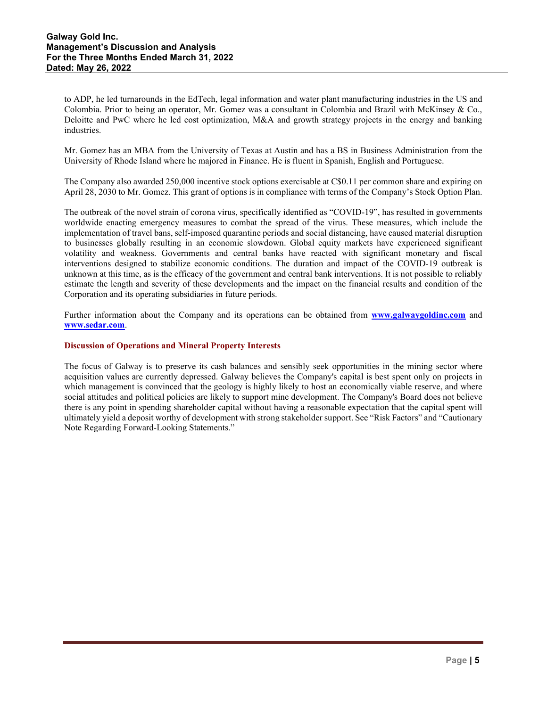to ADP, he led turnarounds in the EdTech, legal information and water plant manufacturing industries in the US and Colombia. Prior to being an operator, Mr. Gomez was a consultant in Colombia and Brazil with McKinsey & Co., Deloitte and PwC where he led cost optimization, M&A and growth strategy projects in the energy and banking industries.

Mr. Gomez has an MBA from the University of Texas at Austin and has a BS in Business Administration from the University of Rhode Island where he majored in Finance. He is fluent in Spanish, English and Portuguese.

The Company also awarded 250,000 incentive stock options exercisable at C\$0.11 per common share and expiring on April 28, 2030 to Mr. Gomez. This grant of options is in compliance with terms of the Company's Stock Option Plan.

The outbreak of the novel strain of corona virus, specifically identified as "COVID-19", has resulted in governments worldwide enacting emergency measures to combat the spread of the virus. These measures, which include the implementation of travel bans, self-imposed quarantine periods and social distancing, have caused material disruption to businesses globally resulting in an economic slowdown. Global equity markets have experienced significant volatility and weakness. Governments and central banks have reacted with significant monetary and fiscal interventions designed to stabilize economic conditions. The duration and impact of the COVID-19 outbreak is unknown at this time, as is the efficacy of the government and central bank interventions. It is not possible to reliably estimate the length and severity of these developments and the impact on the financial results and condition of the Corporation and its operating subsidiaries in future periods.

Further information about the Company and its operations can be obtained from **www.galwaygoldinc.com** and **[www.sedar.com](http://www.sedar.com/)**.

# **Discussion of Operations and Mineral Property Interests**

The focus of Galway is to preserve its cash balances and sensibly seek opportunities in the mining sector where acquisition values are currently depressed. Galway believes the Company's capital is best spent only on projects in which management is convinced that the geology is highly likely to host an economically viable reserve, and where social attitudes and political policies are likely to support mine development. The Company's Board does not believe there is any point in spending shareholder capital without having a reasonable expectation that the capital spent will ultimately yield a deposit worthy of development with strong stakeholder support. See "Risk Factors" and "Cautionary Note Regarding Forward-Looking Statements."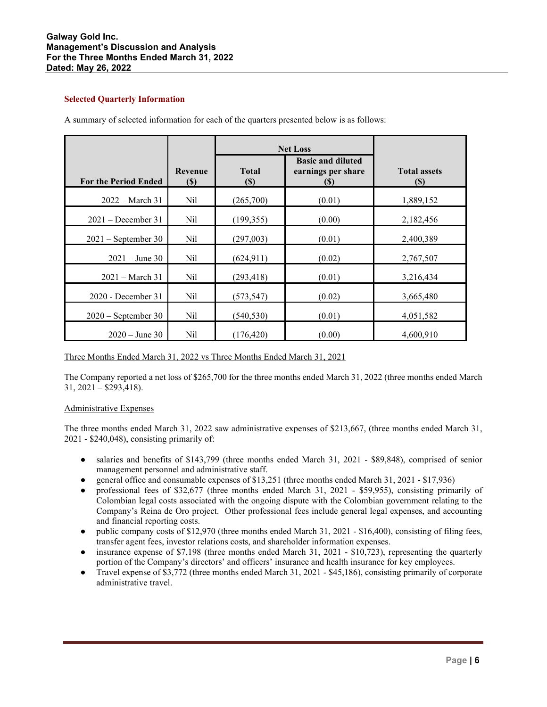# **Galway Gold Inc. Management's Discussion and Analysis For the Three Months Ended March 31, 2022 Dated: May 26, 2022**

# **Selected Quarterly Information**

|                             |                          | <b>Net Loss</b>                            |                                                        |                            |
|-----------------------------|--------------------------|--------------------------------------------|--------------------------------------------------------|----------------------------|
| <b>For the Period Ended</b> | <b>Revenue</b><br>$(\$)$ | <b>Total</b><br>$\left( \mathbb{S}\right)$ | <b>Basic and diluted</b><br>earnings per share<br>(\$) | <b>Total assets</b><br>(S) |
| $2022 - March 31$           | Nil                      | (265,700)                                  | (0.01)                                                 | 1,889,152                  |
| $2021 - December 31$        | Nil                      | (199, 355)                                 | (0.00)                                                 | 2,182,456                  |
| $2021$ – September 30       | Nil                      | (297,003)                                  | (0.01)                                                 | 2,400,389                  |
| $2021 - June 30$            | Nil                      | (624, 911)                                 | (0.02)                                                 | 2,767,507                  |
| $2021 - March 31$           | Nil                      | (293, 418)                                 | (0.01)                                                 | 3,216,434                  |
| 2020 - December 31          | Nil                      | (573, 547)                                 | (0.02)                                                 | 3,665,480                  |
| $2020$ – September 30       | Nil                      | (540, 530)                                 | (0.01)                                                 | 4,051,582                  |
| $2020 - June 30$            | Nil                      | (176, 420)                                 | (0.00)                                                 | 4,600,910                  |

A summary of selected information for each of the quarters presented below is as follows:

# Three Months Ended March 31, 2022 vs Three Months Ended March 31, 2021

The Company reported a net loss of \$265,700 for the three months ended March 31, 2022 (three months ended March 31, 2021 – \$293,418).

# Administrative Expenses

The three months ended March 31, 2022 saw administrative expenses of \$213,667, (three months ended March 31, 2021 - \$240,048), consisting primarily of:

- salaries and benefits of \$143,799 (three months ended March 31, 2021 \$89,848), comprised of senior management personnel and administrative staff.
- general office and consumable expenses of \$13,251 (three months ended March 31, 2021 \$17,936)
- professional fees of \$32,677 (three months ended March 31, 2021 \$59,955), consisting primarily of Colombian legal costs associated with the ongoing dispute with the Colombian government relating to the Company's Reina de Oro project. Other professional fees include general legal expenses, and accounting and financial reporting costs.
- public company costs of \$12,970 (three months ended March 31, 2021 \$16,400), consisting of filing fees, transfer agent fees, investor relations costs, and shareholder information expenses.
- insurance expense of \$7,198 (three months ended March 31, 2021 \$10,723), representing the quarterly portion of the Company's directors' and officers' insurance and health insurance for key employees.
- Travel expense of \$3,772 (three months ended March 31, 2021 \$45,186), consisting primarily of corporate administrative travel.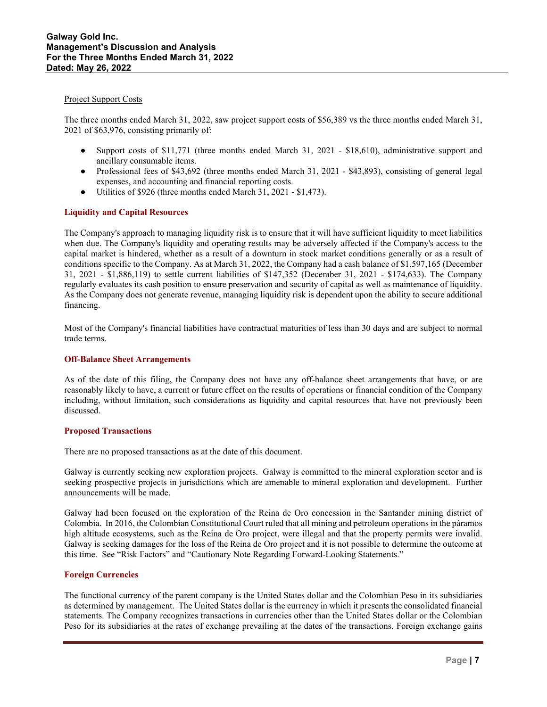# Project Support Costs

The three months ended March 31, 2022, saw project support costs of \$56,389 vs the three months ended March 31, 2021 of \$63,976, consisting primarily of:

- Support costs of \$11,771 (three months ended March 31, 2021 \$18,610), administrative support and ancillary consumable items.
- Professional fees of \$43,692 (three months ended March 31, 2021 \$43,893), consisting of general legal expenses, and accounting and financial reporting costs.
- Utilities of \$926 (three months ended March 31, 2021 \$1,473).

# **Liquidity and Capital Resources**

The Company's approach to managing liquidity risk is to ensure that it will have sufficient liquidity to meet liabilities when due. The Company's liquidity and operating results may be adversely affected if the Company's access to the capital market is hindered, whether as a result of a downturn in stock market conditions generally or as a result of conditions specific to the Company. As at March 31, 2022, the Company had a cash balance of \$1,597,165 (December 31, 2021 - \$1,886,119) to settle current liabilities of \$147,352 (December 31, 2021 - \$174,633). The Company regularly evaluates its cash position to ensure preservation and security of capital as well as maintenance of liquidity. As the Company does not generate revenue, managing liquidity risk is dependent upon the ability to secure additional financing.

Most of the Company's financial liabilities have contractual maturities of less than 30 days and are subject to normal trade terms.

# **Off-Balance Sheet Arrangements**

As of the date of this filing, the Company does not have any off-balance sheet arrangements that have, or are reasonably likely to have, a current or future effect on the results of operations or financial condition of the Company including, without limitation, such considerations as liquidity and capital resources that have not previously been discussed.

# **Proposed Transactions**

There are no proposed transactions as at the date of this document.

Galway is currently seeking new exploration projects. Galway is committed to the mineral exploration sector and is seeking prospective projects in jurisdictions which are amenable to mineral exploration and development. Further announcements will be made.

Galway had been focused on the exploration of the Reina de Oro concession in the Santander mining district of Colombia. In 2016, the Colombian Constitutional Court ruled that all mining and petroleum operations in the páramos high altitude ecosystems, such as the Reina de Oro project, were illegal and that the property permits were invalid. Galway is seeking damages for the loss of the Reina de Oro project and it is not possible to determine the outcome at this time. See "Risk Factors" and "Cautionary Note Regarding Forward-Looking Statements."

# **Foreign Currencies**

The functional currency of the parent company is the United States dollar and the Colombian Peso in its subsidiaries as determined by management. The United States dollar is the currency in which it presents the consolidated financial statements. The Company recognizes transactions in currencies other than the United States dollar or the Colombian Peso for its subsidiaries at the rates of exchange prevailing at the dates of the transactions. Foreign exchange gains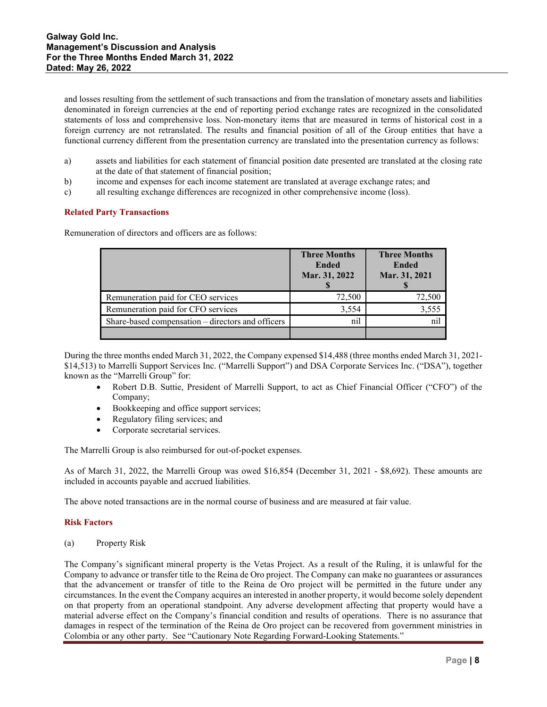and losses resulting from the settlement of such transactions and from the translation of monetary assets and liabilities denominated in foreign currencies at the end of reporting period exchange rates are recognized in the consolidated statements of loss and comprehensive loss. Non-monetary items that are measured in terms of historical cost in a foreign currency are not retranslated. The results and financial position of all of the Group entities that have a functional currency different from the presentation currency are translated into the presentation currency as follows:

- a) assets and liabilities for each statement of financial position date presented are translated at the closing rate at the date of that statement of financial position;
- b) income and expenses for each income statement are translated at average exchange rates; and
- c) all resulting exchange differences are recognized in other comprehensive income (loss).

# **Related Party Transactions**

Remuneration of directors and officers are as follows:

|                                                   | <b>Three Months</b><br><b>Ended</b><br>Mar. 31, 2022 | <b>Three Months</b><br><b>Ended</b><br>Mar. 31, 2021 |
|---------------------------------------------------|------------------------------------------------------|------------------------------------------------------|
| Remuneration paid for CEO services                | 72,500                                               | 72,500                                               |
| Remuneration paid for CFO services                | 3,554                                                | 3.555                                                |
| Share-based compensation – directors and officers | nil                                                  |                                                      |
|                                                   |                                                      |                                                      |

During the three months ended March 31, 2022, the Company expensed \$14,488 (three months ended March 31, 2021- \$14,513) to Marrelli Support Services Inc. ("Marrelli Support") and DSA Corporate Services Inc. ("DSA"), together known as the "Marrelli Group" for:

- Robert D.B. Suttie, President of Marrelli Support, to act as Chief Financial Officer ("CFO") of the Company;
- Bookkeeping and office support services;
- Regulatory filing services; and
- Corporate secretarial services.

The Marrelli Group is also reimbursed for out-of-pocket expenses.

As of March 31, 2022, the Marrelli Group was owed \$16,854 (December 31, 2021 - \$8,692). These amounts are included in accounts payable and accrued liabilities.

The above noted transactions are in the normal course of business and are measured at fair value.

# **Risk Factors**

(a) Property Risk

The Company's significant mineral property is the Vetas Project. As a result of the Ruling, it is unlawful for the Company to advance or transfer title to the Reina de Oro project. The Company can make no guarantees or assurances that the advancement or transfer of title to the Reina de Oro project will be permitted in the future under any circumstances. In the event the Company acquires an interested in another property, it would become solely dependent on that property from an operational standpoint. Any adverse development affecting that property would have a material adverse effect on the Company's financial condition and results of operations. There is no assurance that damages in respect of the termination of the Reina de Oro project can be recovered from government ministries in Colombia or any other party.See "Cautionary Note Regarding Forward-Looking Statements."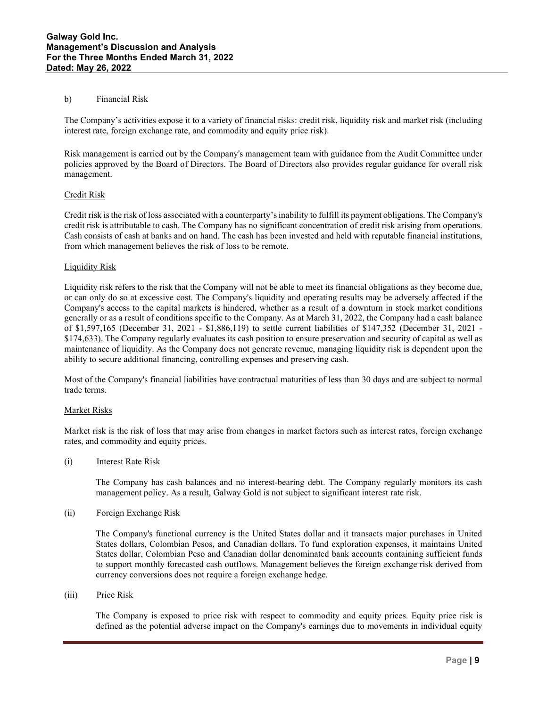# b) Financial Risk

The Company's activities expose it to a variety of financial risks: credit risk, liquidity risk and market risk (including interest rate, foreign exchange rate, and commodity and equity price risk).

Risk management is carried out by the Company's management team with guidance from the Audit Committee under policies approved by the Board of Directors. The Board of Directors also provides regular guidance for overall risk management.

# Credit Risk

Credit risk is the risk of loss associated with a counterparty's inability to fulfill its payment obligations. The Company's credit risk is attributable to cash. The Company has no significant concentration of credit risk arising from operations. Cash consists of cash at banks and on hand. The cash has been invested and held with reputable financial institutions, from which management believes the risk of loss to be remote.

#### Liquidity Risk

Liquidity risk refers to the risk that the Company will not be able to meet its financial obligations as they become due, or can only do so at excessive cost. The Company's liquidity and operating results may be adversely affected if the Company's access to the capital markets is hindered, whether as a result of a downturn in stock market conditions generally or as a result of conditions specific to the Company. As at March 31, 2022, the Company had a cash balance of \$1,597,165 (December 31, 2021 - \$1,886,119) to settle current liabilities of \$147,352 (December 31, 2021 - \$174,633). The Company regularly evaluates its cash position to ensure preservation and security of capital as well as maintenance of liquidity. As the Company does not generate revenue, managing liquidity risk is dependent upon the ability to secure additional financing, controlling expenses and preserving cash.

Most of the Company's financial liabilities have contractual maturities of less than 30 days and are subject to normal trade terms.

#### Market Risks

Market risk is the risk of loss that may arise from changes in market factors such as interest rates, foreign exchange rates, and commodity and equity prices.

(i) Interest Rate Risk

The Company has cash balances and no interest-bearing debt. The Company regularly monitors its cash management policy. As a result, Galway Gold is not subject to significant interest rate risk.

(ii) Foreign Exchange Risk

The Company's functional currency is the United States dollar and it transacts major purchases in United States dollars, Colombian Pesos, and Canadian dollars. To fund exploration expenses, it maintains United States dollar, Colombian Peso and Canadian dollar denominated bank accounts containing sufficient funds to support monthly forecasted cash outflows. Management believes the foreign exchange risk derived from currency conversions does not require a foreign exchange hedge.

(iii) Price Risk

The Company is exposed to price risk with respect to commodity and equity prices. Equity price risk is defined as the potential adverse impact on the Company's earnings due to movements in individual equity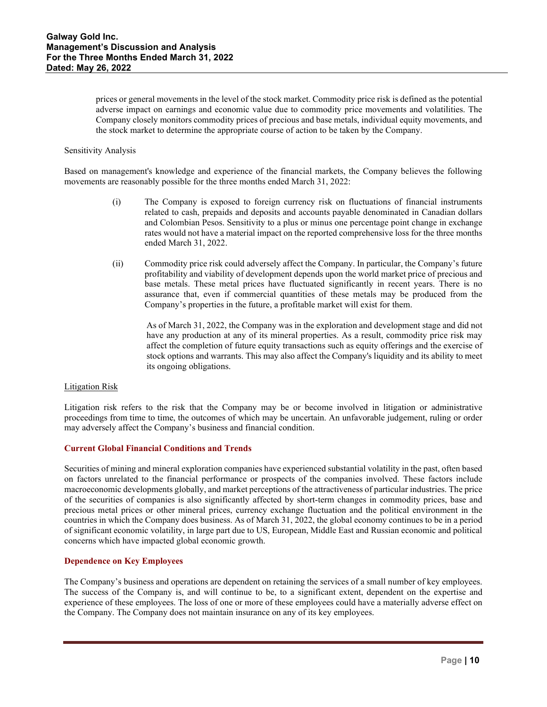prices or general movements in the level of the stock market. Commodity price risk is defined as the potential adverse impact on earnings and economic value due to commodity price movements and volatilities. The Company closely monitors commodity prices of precious and base metals, individual equity movements, and the stock market to determine the appropriate course of action to be taken by the Company.

#### Sensitivity Analysis

Based on management's knowledge and experience of the financial markets, the Company believes the following movements are reasonably possible for the three months ended March 31, 2022:

- (i) The Company is exposed to foreign currency risk on fluctuations of financial instruments related to cash, prepaids and deposits and accounts payable denominated in Canadian dollars and Colombian Pesos. Sensitivity to a plus or minus one percentage point change in exchange rates would not have a material impact on the reported comprehensive loss for the three months ended March 31, 2022.
- (ii) Commodity price risk could adversely affect the Company. In particular, the Company's future profitability and viability of development depends upon the world market price of precious and base metals. These metal prices have fluctuated significantly in recent years. There is no assurance that, even if commercial quantities of these metals may be produced from the Company's properties in the future, a profitable market will exist for them.

As of March 31, 2022, the Company was in the exploration and development stage and did not have any production at any of its mineral properties. As a result, commodity price risk may affect the completion of future equity transactions such as equity offerings and the exercise of stock options and warrants. This may also affect the Company's liquidity and its ability to meet its ongoing obligations.

#### Litigation Risk

Litigation risk refers to the risk that the Company may be or become involved in litigation or administrative proceedings from time to time, the outcomes of which may be uncertain. An unfavorable judgement, ruling or order may adversely affect the Company's business and financial condition.

# **Current Global Financial Conditions and Trends**

Securities of mining and mineral exploration companies have experienced substantial volatility in the past, often based on factors unrelated to the financial performance or prospects of the companies involved. These factors include macroeconomic developments globally, and market perceptions of the attractiveness of particular industries. The price of the securities of companies is also significantly affected by short-term changes in commodity prices, base and precious metal prices or other mineral prices, currency exchange fluctuation and the political environment in the countries in which the Company does business. As of March 31, 2022, the global economy continues to be in a period of significant economic volatility, in large part due to US, European, Middle East and Russian economic and political concerns which have impacted global economic growth.

# **Dependence on Key Employees**

The Company's business and operations are dependent on retaining the services of a small number of key employees. The success of the Company is, and will continue to be, to a significant extent, dependent on the expertise and experience of these employees. The loss of one or more of these employees could have a materially adverse effect on the Company. The Company does not maintain insurance on any of its key employees.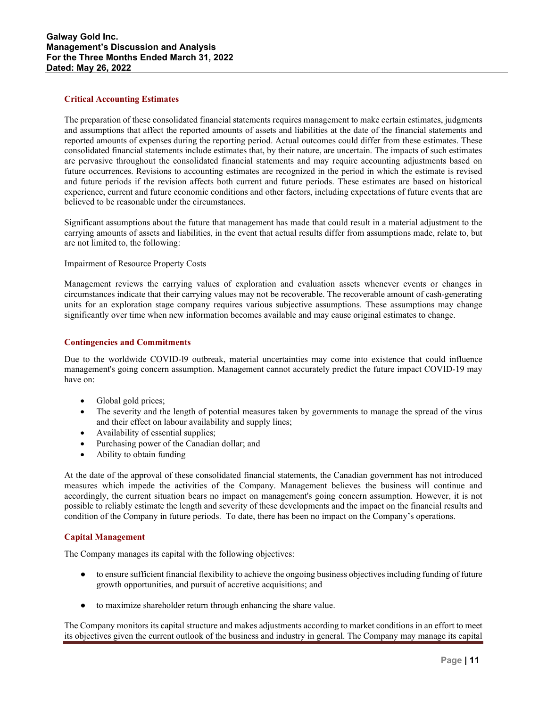# **Critical Accounting Estimates**

The preparation of these consolidated financial statements requires management to make certain estimates, judgments and assumptions that affect the reported amounts of assets and liabilities at the date of the financial statements and reported amounts of expenses during the reporting period. Actual outcomes could differ from these estimates. These consolidated financial statements include estimates that, by their nature, are uncertain. The impacts of such estimates are pervasive throughout the consolidated financial statements and may require accounting adjustments based on future occurrences. Revisions to accounting estimates are recognized in the period in which the estimate is revised and future periods if the revision affects both current and future periods. These estimates are based on historical experience, current and future economic conditions and other factors, including expectations of future events that are believed to be reasonable under the circumstances.

Significant assumptions about the future that management has made that could result in a material adjustment to the carrying amounts of assets and liabilities, in the event that actual results differ from assumptions made, relate to, but are not limited to, the following:

# Impairment of Resource Property Costs

Management reviews the carrying values of exploration and evaluation assets whenever events or changes in circumstances indicate that their carrying values may not be recoverable. The recoverable amount of cash-generating units for an exploration stage company requires various subjective assumptions. These assumptions may change significantly over time when new information becomes available and may cause original estimates to change.

# **Contingencies and Commitments**

Due to the worldwide COVID-l9 outbreak, material uncertainties may come into existence that could influence management's going concern assumption. Management cannot accurately predict the future impact COVID-19 may have on:

- Global gold prices;
- The severity and the length of potential measures taken by governments to manage the spread of the virus and their effect on labour availability and supply lines;
- Availability of essential supplies;
- Purchasing power of the Canadian dollar; and
- Ability to obtain funding

At the date of the approval of these consolidated financial statements, the Canadian government has not introduced measures which impede the activities of the Company. Management believes the business will continue and accordingly, the current situation bears no impact on management's going concern assumption. However, it is not possible to reliably estimate the length and severity of these developments and the impact on the financial results and condition of the Company in future periods. To date, there has been no impact on the Company's operations.

# **Capital Management**

The Company manages its capital with the following objectives:

- to ensure sufficient financial flexibility to achieve the ongoing business objectives including funding of future growth opportunities, and pursuit of accretive acquisitions; and
- to maximize shareholder return through enhancing the share value.

The Company monitors its capital structure and makes adjustments according to market conditions in an effort to meet its objectives given the current outlook of the business and industry in general. The Company may manage its capital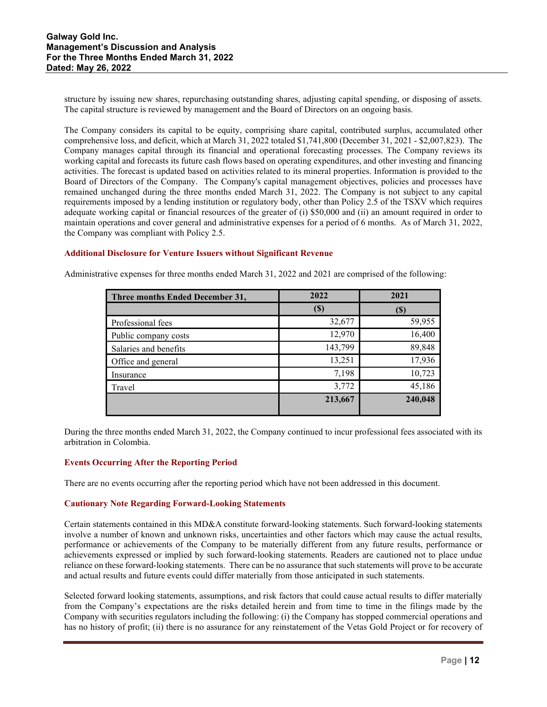structure by issuing new shares, repurchasing outstanding shares, adjusting capital spending, or disposing of assets. The capital structure is reviewed by management and the Board of Directors on an ongoing basis.

The Company considers its capital to be equity, comprising share capital, contributed surplus, accumulated other comprehensive loss, and deficit, which at March 31, 2022 totaled \$1,741,800 (December 31, 2021 - \$2,007,823). The Company manages capital through its financial and operational forecasting processes. The Company reviews its working capital and forecasts its future cash flows based on operating expenditures, and other investing and financing activities. The forecast is updated based on activities related to its mineral properties. Information is provided to the Board of Directors of the Company. The Company's capital management objectives, policies and processes have remained unchanged during the three months ended March 31, 2022. The Company is not subject to any capital requirements imposed by a lending institution or regulatory body, other than Policy 2.5 of the TSXV which requires adequate working capital or financial resources of the greater of (i) \$50,000 and (ii) an amount required in order to maintain operations and cover general and administrative expenses for a period of 6 months. As of March 31, 2022, the Company was compliant with Policy 2.5.

# **Additional Disclosure for Venture Issuers without Significant Revenue**

Administrative expenses for three months ended March 31, 2022 and 2021 are comprised of the following:

| Three months Ended December 31, | 2022    | 2021    |
|---------------------------------|---------|---------|
|                                 | (\$)    |         |
| Professional fees               | 32,677  | 59,955  |
| Public company costs            | 12,970  | 16,400  |
| Salaries and benefits           | 143,799 | 89,848  |
| Office and general              | 13,251  | 17,936  |
| Insurance                       | 7,198   | 10,723  |
| Travel                          | 3,772   | 45,186  |
|                                 | 213,667 | 240,048 |
|                                 |         |         |

During the three months ended March 31, 2022, the Company continued to incur professional fees associated with its arbitration in Colombia.

# **Events Occurring After the Reporting Period**

There are no events occurring after the reporting period which have not been addressed in this document.

# **Cautionary Note Regarding Forward-Looking Statements**

Certain statements contained in this MD&A constitute forward-looking statements. Such forward-looking statements involve a number of known and unknown risks, uncertainties and other factors which may cause the actual results, performance or achievements of the Company to be materially different from any future results, performance or achievements expressed or implied by such forward-looking statements. Readers are cautioned not to place undue reliance on these forward-looking statements. There can be no assurance that such statements will prove to be accurate and actual results and future events could differ materially from those anticipated in such statements.

Selected forward looking statements, assumptions, and risk factors that could cause actual results to differ materially from the Company's expectations are the risks detailed herein and from time to time in the filings made by the Company with securities regulators including the following: (i) the Company has stopped commercial operations and has no history of profit; (ii) there is no assurance for any reinstatement of the Vetas Gold Project or for recovery of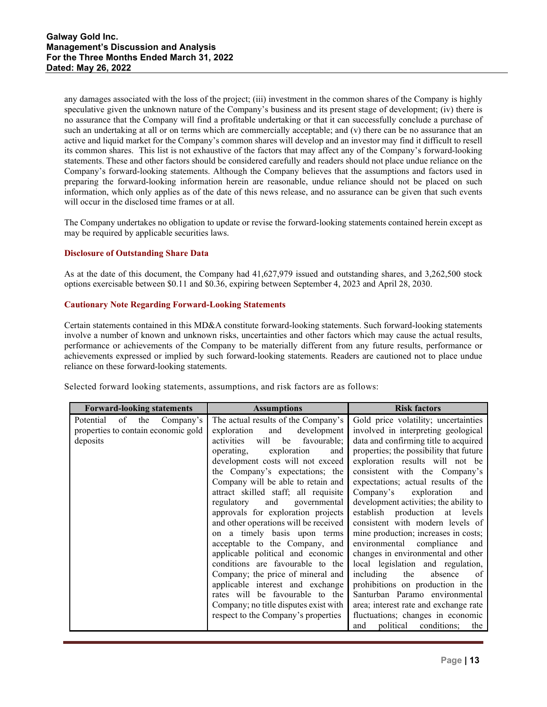any damages associated with the loss of the project; (iii) investment in the common shares of the Company is highly speculative given the unknown nature of the Company's business and its present stage of development; (iv) there is no assurance that the Company will find a profitable undertaking or that it can successfully conclude a purchase of such an undertaking at all or on terms which are commercially acceptable; and (v) there can be no assurance that an active and liquid market for the Company's common shares will develop and an investor may find it difficult to resell its common shares. This list is not exhaustive of the factors that may affect any of the Company's forward-looking statements. These and other factors should be considered carefully and readers should not place undue reliance on the Company's forward-looking statements. Although the Company believes that the assumptions and factors used in preparing the forward-looking information herein are reasonable, undue reliance should not be placed on such information, which only applies as of the date of this news release, and no assurance can be given that such events will occur in the disclosed time frames or at all.

The Company undertakes no obligation to update or revise the forward-looking statements contained herein except as may be required by applicable securities laws.

# **Disclosure of Outstanding Share Data**

As at the date of this document, the Company had 41,627,979 issued and outstanding shares, and 3,262,500 stock options exercisable between \$0.11 and \$0.36, expiring between September 4, 2023 and April 28, 2030.

# **Cautionary Note Regarding Forward-Looking Statements**

Certain statements contained in this MD&A constitute forward-looking statements. Such forward-looking statements involve a number of known and unknown risks, uncertainties and other factors which may cause the actual results, performance or achievements of the Company to be materially different from any future results, performance or achievements expressed or implied by such forward-looking statements. Readers are cautioned not to place undue reliance on these forward-looking statements.

Selected forward looking statements, assumptions, and risk factors are as follows:

| <b>Forward-looking statements</b>                                                      | <b>Assumptions</b>                                                                                                                                                                                                                                                                                                                                                                                                                                                                                                                                                                                                                                                                                                                                                       | <b>Risk factors</b>                                                                                                                                                                                                                                                                                                                                                                                                                                                                                                                                                                                                                                                                                                                                                                                                        |
|----------------------------------------------------------------------------------------|--------------------------------------------------------------------------------------------------------------------------------------------------------------------------------------------------------------------------------------------------------------------------------------------------------------------------------------------------------------------------------------------------------------------------------------------------------------------------------------------------------------------------------------------------------------------------------------------------------------------------------------------------------------------------------------------------------------------------------------------------------------------------|----------------------------------------------------------------------------------------------------------------------------------------------------------------------------------------------------------------------------------------------------------------------------------------------------------------------------------------------------------------------------------------------------------------------------------------------------------------------------------------------------------------------------------------------------------------------------------------------------------------------------------------------------------------------------------------------------------------------------------------------------------------------------------------------------------------------------|
| Potential<br>of<br>the<br>Company's<br>properties to contain economic gold<br>deposits | The actual results of the Company's<br>development<br>exploration<br>and<br>will<br>activities<br>favourable;<br>be<br>operating,<br>exploration<br>and<br>development costs will not exceed<br>the Company's expectations; the<br>Company will be able to retain and<br>attract skilled staff; all requisite<br>and<br>regulatory<br>governmental<br>approvals for exploration projects<br>and other operations will be received<br>on a timely basis upon terms<br>acceptable to the Company, and<br>applicable political and economic<br>conditions are favourable to the<br>Company; the price of mineral and<br>applicable interest and exchange<br>rates will be favourable to the<br>Company; no title disputes exist with<br>respect to the Company's properties | Gold price volatility; uncertainties<br>involved in interpreting geological<br>data and confirming title to acquired<br>properties; the possibility that future<br>exploration results will not be<br>consistent with the Company's<br>expectations; actual results of the<br>Company's<br>exploration<br>and<br>development activities; the ability to<br>establish production at levels<br>consistent with modern levels of<br>mine production; increases in costs;<br>environmental<br>compliance<br>and<br>changes in environmental and other<br>local legislation and regulation,<br>including<br>the<br>absence<br>of<br>prohibitions on production in the<br>Santurban Paramo environmental<br>area; interest rate and exchange rate<br>fluctuations; changes in economic<br>political<br>conditions;<br>and<br>the |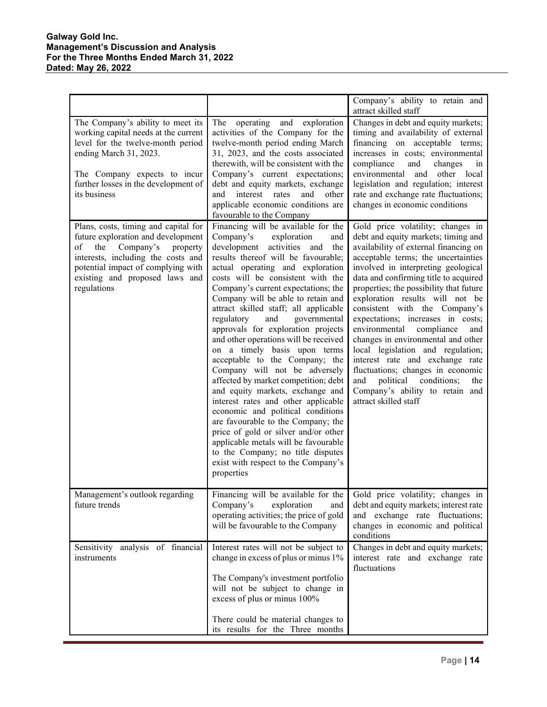# **Galway Gold Inc. Management's Discussion and Analysis For the Three Months Ended March 31, 2022 Dated: May 26, 2022**

|                                                                                                                                                                                                                                               |                                                                                                                                                                                                                                                                                                                                                                                                                                                                                                                                                                                                                                                                                                                                                                                                                                                                                                                                                  | Company's ability to retain and<br>attract skilled staff                                                                                                                                                                                                                                                                                                                                                                                                                                                                                                                                                                                                                                    |
|-----------------------------------------------------------------------------------------------------------------------------------------------------------------------------------------------------------------------------------------------|--------------------------------------------------------------------------------------------------------------------------------------------------------------------------------------------------------------------------------------------------------------------------------------------------------------------------------------------------------------------------------------------------------------------------------------------------------------------------------------------------------------------------------------------------------------------------------------------------------------------------------------------------------------------------------------------------------------------------------------------------------------------------------------------------------------------------------------------------------------------------------------------------------------------------------------------------|---------------------------------------------------------------------------------------------------------------------------------------------------------------------------------------------------------------------------------------------------------------------------------------------------------------------------------------------------------------------------------------------------------------------------------------------------------------------------------------------------------------------------------------------------------------------------------------------------------------------------------------------------------------------------------------------|
| The Company's ability to meet its<br>working capital needs at the current<br>level for the twelve-month period<br>ending March 31, 2023.<br>The Company expects to incur<br>further losses in the development of<br>its business              | operating<br>and exploration<br>The<br>activities of the Company for the<br>twelve-month period ending March<br>31, 2023, and the costs associated<br>therewith, will be consistent with the<br>Company's current expectations;<br>debt and equity markets, exchange<br>interest rates<br>and<br>other<br>and<br>applicable economic conditions are<br>favourable to the Company                                                                                                                                                                                                                                                                                                                                                                                                                                                                                                                                                                 | Changes in debt and equity markets;<br>timing and availability of external<br>financing on acceptable terms;<br>increases in costs; environmental<br>compliance<br>and<br>changes<br>1n<br>environmental<br>and<br>other local<br>legislation and regulation; interest<br>rate and exchange rate fluctuations;<br>changes in economic conditions                                                                                                                                                                                                                                                                                                                                            |
| Plans, costs, timing and capital for<br>future exploration and development<br>the<br>Company's<br>of<br>property<br>interests, including the costs and<br>potential impact of complying with<br>existing and proposed laws and<br>regulations | Financing will be available for the<br>Company's<br>exploration<br>and<br>development<br>activities and the<br>results thereof will be favourable;<br>actual operating and exploration<br>costs will be consistent with the<br>Company's current expectations; the<br>Company will be able to retain and<br>attract skilled staff; all applicable<br>regulatory<br>governmental<br>and<br>approvals for exploration projects<br>and other operations will be received<br>on a timely basis upon terms<br>acceptable to the Company; the<br>Company will not be adversely<br>affected by market competition; debt<br>and equity markets, exchange and<br>interest rates and other applicable<br>economic and political conditions<br>are favourable to the Company; the<br>price of gold or silver and/or other<br>applicable metals will be favourable<br>to the Company; no title disputes<br>exist with respect to the Company's<br>properties | Gold price volatility; changes in<br>debt and equity markets; timing and<br>availability of external financing on<br>acceptable terms; the uncertainties<br>involved in interpreting geological<br>data and confirming title to acquired<br>properties; the possibility that future<br>exploration results will not be<br>consistent with the Company's<br>expectations; increases in costs;<br>environmental<br>compliance<br>and<br>changes in environmental and other<br>local legislation and regulation;<br>interest rate and exchange rate<br>fluctuations; changes in economic<br>political<br>conditions;<br>and<br>the<br>Company's ability to retain and<br>attract skilled staff |
| Management's outlook regarding<br>future trends                                                                                                                                                                                               | Financing will be available for the<br>Company's<br>exploration<br>and<br>operating activities; the price of gold<br>will be favourable to the Company                                                                                                                                                                                                                                                                                                                                                                                                                                                                                                                                                                                                                                                                                                                                                                                           | Gold price volatility; changes in<br>debt and equity markets; interest rate<br>and exchange rate fluctuations;<br>changes in economic and political<br>conditions                                                                                                                                                                                                                                                                                                                                                                                                                                                                                                                           |
| Sensitivity analysis of financial<br>instruments                                                                                                                                                                                              | Interest rates will not be subject to<br>change in excess of plus or minus 1%<br>The Company's investment portfolio<br>will not be subject to change in<br>excess of plus or minus 100%<br>There could be material changes to<br>its results for the Three months                                                                                                                                                                                                                                                                                                                                                                                                                                                                                                                                                                                                                                                                                | Changes in debt and equity markets;<br>interest rate and exchange rate<br>fluctuations                                                                                                                                                                                                                                                                                                                                                                                                                                                                                                                                                                                                      |